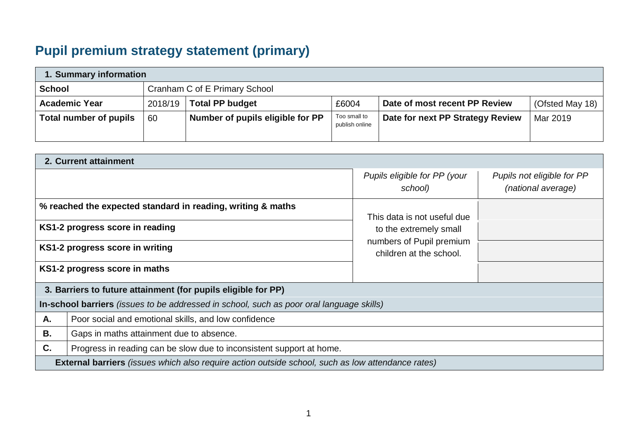## **Pupil premium strategy statement (primary)**

| 1. Summary information |                               |                                  |                                |                                  |                 |  |
|------------------------|-------------------------------|----------------------------------|--------------------------------|----------------------------------|-----------------|--|
| <b>School</b>          | Cranham C of E Primary School |                                  |                                |                                  |                 |  |
| <b>Academic Year</b>   | 2018/19                       | <b>Total PP budget</b>           | £6004                          | Date of most recent PP Review    | (Ofsted May 18) |  |
| Total number of pupils | 60                            | Number of pupils eligible for PP | Too small to<br>publish online | Date for next PP Strategy Review | Mar 2019        |  |

|                                                                                                                                                                    | 2. Current attainment                                                                                    |                                                                               |                                                  |  |  |  |
|--------------------------------------------------------------------------------------------------------------------------------------------------------------------|----------------------------------------------------------------------------------------------------------|-------------------------------------------------------------------------------|--------------------------------------------------|--|--|--|
|                                                                                                                                                                    |                                                                                                          | Pupils eligible for PP (your<br>school)                                       | Pupils not eligible for PP<br>(national average) |  |  |  |
| % reached the expected standard in reading, writing & maths<br>KS1-2 progress score in reading<br>KS1-2 progress score in writing<br>KS1-2 progress score in maths |                                                                                                          | This data is not useful due                                                   |                                                  |  |  |  |
|                                                                                                                                                                    |                                                                                                          | to the extremely small<br>numbers of Pupil premium<br>children at the school. |                                                  |  |  |  |
|                                                                                                                                                                    |                                                                                                          |                                                                               |                                                  |  |  |  |
|                                                                                                                                                                    |                                                                                                          |                                                                               |                                                  |  |  |  |
|                                                                                                                                                                    | 3. Barriers to future attainment (for pupils eligible for PP)                                            |                                                                               |                                                  |  |  |  |
|                                                                                                                                                                    | In-school barriers (issues to be addressed in school, such as poor oral language skills)                 |                                                                               |                                                  |  |  |  |
| А.                                                                                                                                                                 | Poor social and emotional skills, and low confidence                                                     |                                                                               |                                                  |  |  |  |
| <b>B.</b>                                                                                                                                                          | Gaps in maths attainment due to absence.                                                                 |                                                                               |                                                  |  |  |  |
| C.                                                                                                                                                                 | Progress in reading can be slow due to inconsistent support at home.                                     |                                                                               |                                                  |  |  |  |
|                                                                                                                                                                    | <b>External barriers</b> (issues which also require action outside school, such as low attendance rates) |                                                                               |                                                  |  |  |  |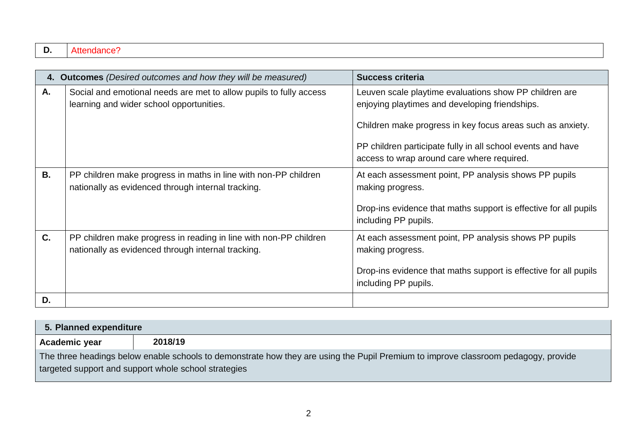|           | 4. Outcomes (Desired outcomes and how they will be measured)                                                            | <b>Success criteria</b>                                                                                                                                                                                                                                                             |
|-----------|-------------------------------------------------------------------------------------------------------------------------|-------------------------------------------------------------------------------------------------------------------------------------------------------------------------------------------------------------------------------------------------------------------------------------|
| А.        | Social and emotional needs are met to allow pupils to fully access<br>learning and wider school opportunities.          | Leuven scale playtime evaluations show PP children are<br>enjoying playtimes and developing friendships.<br>Children make progress in key focus areas such as anxiety.<br>PP children participate fully in all school events and have<br>access to wrap around care where required. |
| <b>B.</b> | PP children make progress in maths in line with non-PP children<br>nationally as evidenced through internal tracking.   | At each assessment point, PP analysis shows PP pupils<br>making progress.<br>Drop-ins evidence that maths support is effective for all pupils<br>including PP pupils.                                                                                                               |
| C.        | PP children make progress in reading in line with non-PP children<br>nationally as evidenced through internal tracking. | At each assessment point, PP analysis shows PP pupils<br>making progress.<br>Drop-ins evidence that maths support is effective for all pupils<br>including PP pupils.                                                                                                               |
| D.        |                                                                                                                         |                                                                                                                                                                                                                                                                                     |

| 5. Planned expenditure |                                                                                                                                    |  |  |  |
|------------------------|------------------------------------------------------------------------------------------------------------------------------------|--|--|--|
| Academic year          | 2018/19                                                                                                                            |  |  |  |
|                        | The three headings below enable schools to demonstrate how they are using the Pupil Premium to improve classroom pedagogy, provide |  |  |  |
|                        | targeted support and support whole school strategies                                                                               |  |  |  |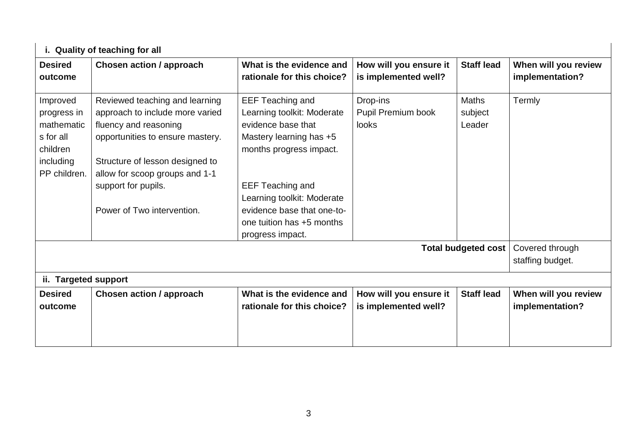|                                                                                             | i. Quality of teaching for all                                                                                                                                                                                                                           |                                                                                                                                                                                                                                                                           |                                                |                                   |                                         |
|---------------------------------------------------------------------------------------------|----------------------------------------------------------------------------------------------------------------------------------------------------------------------------------------------------------------------------------------------------------|---------------------------------------------------------------------------------------------------------------------------------------------------------------------------------------------------------------------------------------------------------------------------|------------------------------------------------|-----------------------------------|-----------------------------------------|
| <b>Desired</b><br>outcome                                                                   | Chosen action / approach                                                                                                                                                                                                                                 | What is the evidence and<br>rationale for this choice?                                                                                                                                                                                                                    | How will you ensure it<br>is implemented well? | <b>Staff lead</b>                 | When will you review<br>implementation? |
| Improved<br>progress in<br>mathematic<br>s for all<br>children<br>including<br>PP children. | Reviewed teaching and learning<br>approach to include more varied<br>fluency and reasoning<br>opportunities to ensure mastery.<br>Structure of lesson designed to<br>allow for scoop groups and 1-1<br>support for pupils.<br>Power of Two intervention. | <b>EEF Teaching and</b><br>Learning toolkit: Moderate<br>evidence base that<br>Mastery learning has +5<br>months progress impact.<br><b>EEF Teaching and</b><br>Learning toolkit: Moderate<br>evidence base that one-to-<br>one tuition has +5 months<br>progress impact. | Drop-ins<br>Pupil Premium book<br><b>looks</b> | <b>Maths</b><br>subject<br>Leader | Termly                                  |
|                                                                                             |                                                                                                                                                                                                                                                          |                                                                                                                                                                                                                                                                           |                                                | <b>Total budgeted cost</b>        | Covered through<br>staffing budget.     |
| ii. Targeted support<br><b>Desired</b>                                                      | Chosen action / approach                                                                                                                                                                                                                                 | What is the evidence and                                                                                                                                                                                                                                                  | How will you ensure it                         | <b>Staff lead</b>                 | When will you review                    |
| outcome                                                                                     |                                                                                                                                                                                                                                                          | rationale for this choice?                                                                                                                                                                                                                                                | is implemented well?                           |                                   | implementation?                         |
|                                                                                             |                                                                                                                                                                                                                                                          |                                                                                                                                                                                                                                                                           |                                                |                                   |                                         |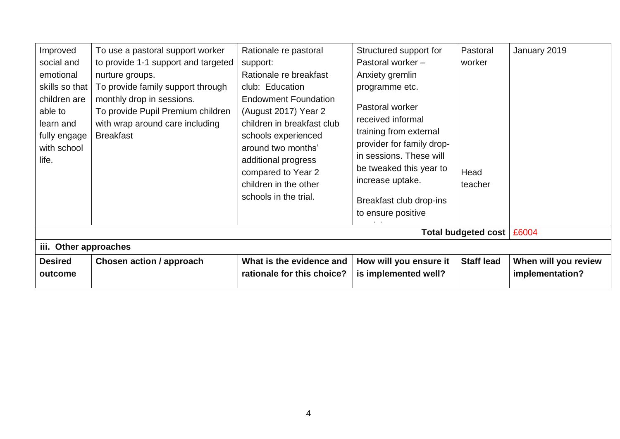| Improved<br>social and<br>emotional<br>skills so that<br>children are<br>able to<br>learn and<br>fully engage<br>with school<br>life. | To use a pastoral support worker<br>to provide 1-1 support and targeted<br>nurture groups.<br>To provide family support through<br>monthly drop in sessions.<br>To provide Pupil Premium children<br>with wrap around care including<br><b>Breakfast</b> | Rationale re pastoral<br>support:<br>Rationale re breakfast<br>club: Education<br><b>Endowment Foundation</b><br>(August 2017) Year 2<br>children in breakfast club<br>schools experienced<br>around two months'<br>additional progress<br>compared to Year 2<br>children in the other<br>schools in the trial. | Structured support for<br>Pastoral worker -<br>Anxiety gremlin<br>programme etc.<br>Pastoral worker<br>received informal<br>training from external<br>provider for family drop-<br>in sessions. These will<br>be tweaked this year to<br>increase uptake.<br>Breakfast club drop-ins<br>to ensure positive | Pastoral<br>worker<br>Head<br>teacher<br>Total budgeted cost   £6004 | January 2019                            |  |
|---------------------------------------------------------------------------------------------------------------------------------------|----------------------------------------------------------------------------------------------------------------------------------------------------------------------------------------------------------------------------------------------------------|-----------------------------------------------------------------------------------------------------------------------------------------------------------------------------------------------------------------------------------------------------------------------------------------------------------------|------------------------------------------------------------------------------------------------------------------------------------------------------------------------------------------------------------------------------------------------------------------------------------------------------------|----------------------------------------------------------------------|-----------------------------------------|--|
|                                                                                                                                       |                                                                                                                                                                                                                                                          |                                                                                                                                                                                                                                                                                                                 |                                                                                                                                                                                                                                                                                                            |                                                                      |                                         |  |
|                                                                                                                                       | iii. Other approaches                                                                                                                                                                                                                                    |                                                                                                                                                                                                                                                                                                                 |                                                                                                                                                                                                                                                                                                            |                                                                      |                                         |  |
| <b>Desired</b><br>outcome                                                                                                             | Chosen action / approach                                                                                                                                                                                                                                 | What is the evidence and<br>rationale for this choice?                                                                                                                                                                                                                                                          | How will you ensure it<br>is implemented well?                                                                                                                                                                                                                                                             | <b>Staff lead</b>                                                    | When will you review<br>implementation? |  |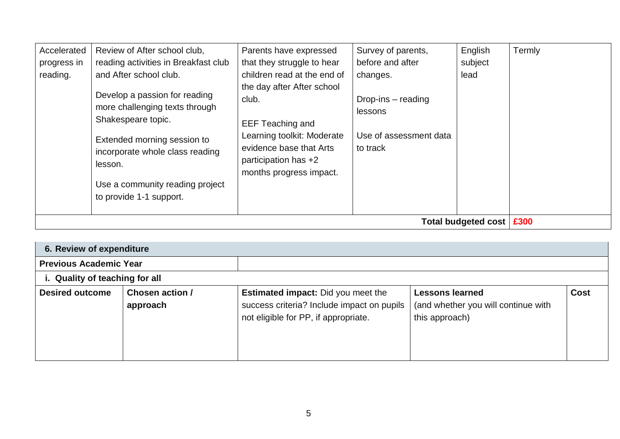|                                        | Use a community reading project<br>to provide 1-1 support.                                     |                                                                                                          |                                                    | Total budgeted cost        | £300   |
|----------------------------------------|------------------------------------------------------------------------------------------------|----------------------------------------------------------------------------------------------------------|----------------------------------------------------|----------------------------|--------|
|                                        | Extended morning session to<br>incorporate whole class reading<br>lesson.                      | Learning toolkit: Moderate<br>evidence base that Arts<br>participation has +2<br>months progress impact. | Use of assessment data<br>to track                 |                            |        |
|                                        | Develop a passion for reading<br>more challenging texts through<br>Shakespeare topic.          | the day after After school<br>club.<br><b>EEF Teaching and</b>                                           | Drop-ins $-$ reading<br>lessons                    |                            |        |
| Accelerated<br>progress in<br>reading. | Review of After school club,<br>reading activities in Breakfast club<br>and After school club. | Parents have expressed<br>that they struggle to hear<br>children read at the end of                      | Survey of parents,<br>before and after<br>changes. | English<br>subject<br>lead | Termly |
|                                        |                                                                                                |                                                                                                          |                                                    |                            |        |

| 6. Review of expenditure       |                             |                                                                                                                                 |                                                                                 |             |
|--------------------------------|-----------------------------|---------------------------------------------------------------------------------------------------------------------------------|---------------------------------------------------------------------------------|-------------|
| <b>Previous Academic Year</b>  |                             |                                                                                                                                 |                                                                                 |             |
| i. Quality of teaching for all |                             |                                                                                                                                 |                                                                                 |             |
| <b>Desired outcome</b>         | Chosen action /<br>approach | <b>Estimated impact:</b> Did you meet the<br>success criteria? Include impact on pupils<br>not eligible for PP, if appropriate. | <b>Lessons learned</b><br>(and whether you will continue with<br>this approach) | <b>Cost</b> |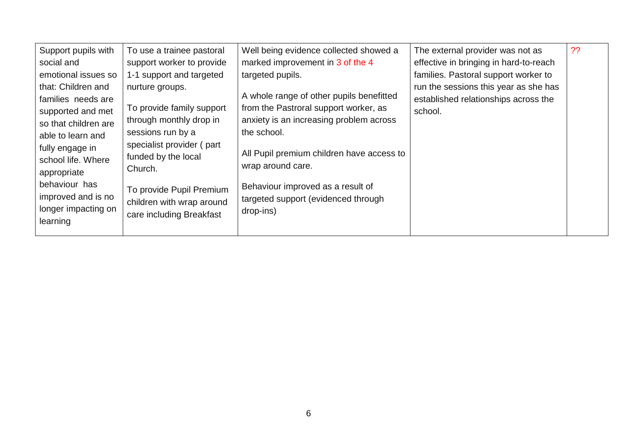| Support pupils with                                                                                                            | To use a trainee pastoral                             | Well being evidence collected showed a                                                                                                                                                             | The external provider was not as       | ?? |
|--------------------------------------------------------------------------------------------------------------------------------|-------------------------------------------------------|----------------------------------------------------------------------------------------------------------------------------------------------------------------------------------------------------|----------------------------------------|----|
| social and                                                                                                                     | support worker to provide                             | marked improvement in 3 of the 4                                                                                                                                                                   | effective in bringing in hard-to-reach |    |
| emotional issues so                                                                                                            | 1-1 support and targeted                              | targeted pupils.                                                                                                                                                                                   | families. Pastoral support worker to   |    |
| that: Children and                                                                                                             | nurture groups.                                       |                                                                                                                                                                                                    | run the sessions this year as she has  |    |
| families needs are                                                                                                             |                                                       | A whole range of other pupils benefitted                                                                                                                                                           | established relationships across the   |    |
| supported and met                                                                                                              | To provide family support                             | from the Pastroral support worker, as                                                                                                                                                              | school.                                |    |
| so that children are                                                                                                           | through monthly drop in                               |                                                                                                                                                                                                    |                                        |    |
| able to learn and                                                                                                              | sessions run by a                                     | the school.                                                                                                                                                                                        |                                        |    |
|                                                                                                                                | specialist provider (part                             |                                                                                                                                                                                                    |                                        |    |
|                                                                                                                                | funded by the local                                   |                                                                                                                                                                                                    |                                        |    |
|                                                                                                                                | Church.                                               |                                                                                                                                                                                                    |                                        |    |
|                                                                                                                                |                                                       |                                                                                                                                                                                                    |                                        |    |
|                                                                                                                                |                                                       |                                                                                                                                                                                                    |                                        |    |
|                                                                                                                                |                                                       |                                                                                                                                                                                                    |                                        |    |
|                                                                                                                                | care including Breakfast                              |                                                                                                                                                                                                    |                                        |    |
|                                                                                                                                |                                                       |                                                                                                                                                                                                    |                                        |    |
| fully engage in<br>school life. Where<br>appropriate<br>behaviour has<br>improved and is no<br>longer impacting on<br>learning | To provide Pupil Premium<br>children with wrap around | anxiety is an increasing problem across<br>All Pupil premium children have access to<br>wrap around care.<br>Behaviour improved as a result of<br>targeted support (evidenced through<br>drop-ins) |                                        |    |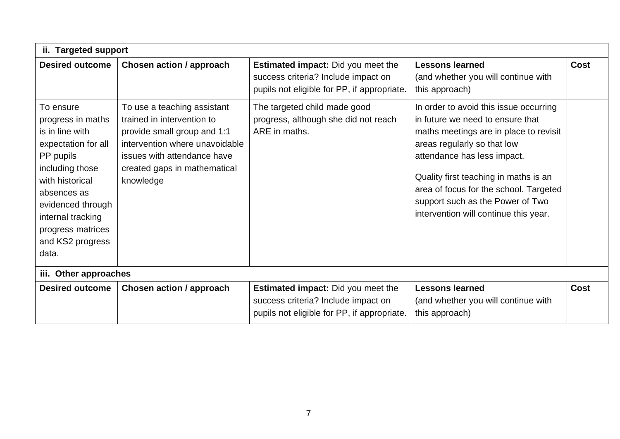|                                                                                                                                                                                                                                        | ii. Targeted support                                                                                                                                                                                   |                                                                                                                                 |                                                                                                                                                                                                                                                                                                                                                    |             |  |  |  |
|----------------------------------------------------------------------------------------------------------------------------------------------------------------------------------------------------------------------------------------|--------------------------------------------------------------------------------------------------------------------------------------------------------------------------------------------------------|---------------------------------------------------------------------------------------------------------------------------------|----------------------------------------------------------------------------------------------------------------------------------------------------------------------------------------------------------------------------------------------------------------------------------------------------------------------------------------------------|-------------|--|--|--|
| <b>Desired outcome</b>                                                                                                                                                                                                                 | Chosen action / approach                                                                                                                                                                               | <b>Estimated impact:</b> Did you meet the<br>success criteria? Include impact on<br>pupils not eligible for PP, if appropriate. | <b>Lessons learned</b><br>(and whether you will continue with<br>this approach)                                                                                                                                                                                                                                                                    | <b>Cost</b> |  |  |  |
| To ensure<br>progress in maths<br>is in line with<br>expectation for all<br>PP pupils<br>including those<br>with historical<br>absences as<br>evidenced through<br>internal tracking<br>progress matrices<br>and KS2 progress<br>data. | To use a teaching assistant<br>trained in intervention to<br>provide small group and 1:1<br>intervention where unavoidable<br>issues with attendance have<br>created gaps in mathematical<br>knowledge | The targeted child made good<br>progress, although she did not reach<br>ARE in maths.                                           | In order to avoid this issue occurring<br>in future we need to ensure that<br>maths meetings are in place to revisit<br>areas regularly so that low<br>attendance has less impact.<br>Quality first teaching in maths is an<br>area of focus for the school. Targeted<br>support such as the Power of Two<br>intervention will continue this year. |             |  |  |  |
|                                                                                                                                                                                                                                        | iii. Other approaches                                                                                                                                                                                  |                                                                                                                                 |                                                                                                                                                                                                                                                                                                                                                    |             |  |  |  |
| <b>Desired outcome</b>                                                                                                                                                                                                                 | <b>Chosen action / approach</b>                                                                                                                                                                        | <b>Estimated impact:</b> Did you meet the<br>success criteria? Include impact on<br>pupils not eligible for PP, if appropriate. | <b>Lessons learned</b><br>(and whether you will continue with<br>this approach)                                                                                                                                                                                                                                                                    | <b>Cost</b> |  |  |  |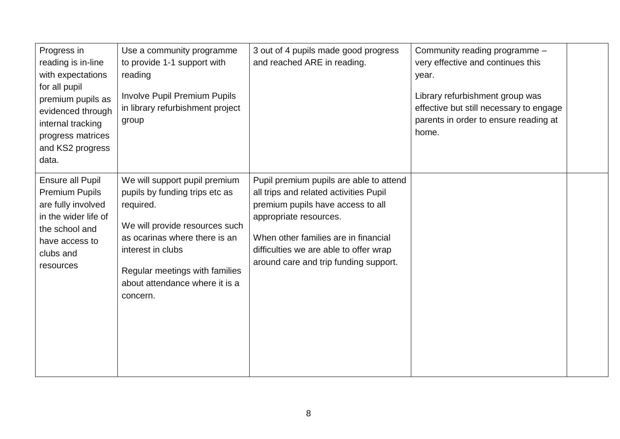| Progress in<br>reading is in-line<br>with expectations<br>for all pupil<br>premium pupils as<br>evidenced through<br>internal tracking<br>progress matrices<br>and KS2 progress<br>data. | Use a community programme<br>to provide 1-1 support with<br>reading<br><b>Involve Pupil Premium Pupils</b><br>in library refurbishment project<br>group                                                                                              | 3 out of 4 pupils made good progress<br>and reached ARE in reading.                                                                                                                                                                                                         | Community reading programme -<br>very effective and continues this<br>year.<br>Library refurbishment group was<br>effective but still necessary to engage<br>parents in order to ensure reading at<br>home. |  |
|------------------------------------------------------------------------------------------------------------------------------------------------------------------------------------------|------------------------------------------------------------------------------------------------------------------------------------------------------------------------------------------------------------------------------------------------------|-----------------------------------------------------------------------------------------------------------------------------------------------------------------------------------------------------------------------------------------------------------------------------|-------------------------------------------------------------------------------------------------------------------------------------------------------------------------------------------------------------|--|
| Ensure all Pupil<br><b>Premium Pupils</b><br>are fully involved<br>in the wider life of<br>the school and<br>have access to<br>clubs and<br>resources                                    | We will support pupil premium<br>pupils by funding trips etc as<br>required.<br>We will provide resources such<br>as ocarinas where there is an<br>interest in clubs<br>Regular meetings with families<br>about attendance where it is a<br>concern. | Pupil premium pupils are able to attend<br>all trips and related activities Pupil<br>premium pupils have access to all<br>appropriate resources.<br>When other families are in financial<br>difficulties we are able to offer wrap<br>around care and trip funding support. |                                                                                                                                                                                                             |  |